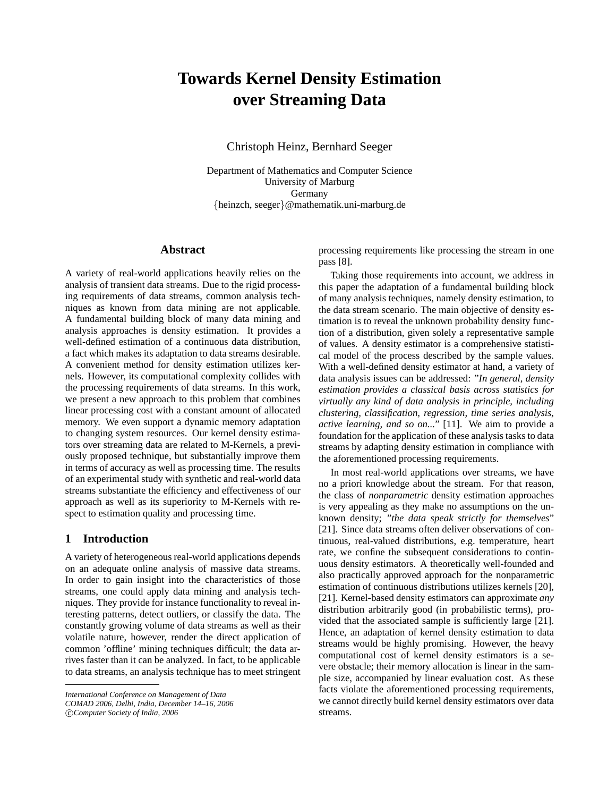# **Towards Kernel Density Estimation over Streaming Data**

Christoph Heinz, Bernhard Seeger

Department of Mathematics and Computer Science University of Marburg Germany {heinzch, seeger}@mathematik.uni-marburg.de

### **Abstract**

A variety of real-world applications heavily relies on the analysis of transient data streams. Due to the rigid processing requirements of data streams, common analysis techniques as known from data mining are not applicable. A fundamental building block of many data mining and analysis approaches is density estimation. It provides a well-defined estimation of a continuous data distribution, a fact which makes its adaptation to data streams desirable. A convenient method for density estimation utilizes kernels. However, its computational complexity collides with the processing requirements of data streams. In this work, we present a new approach to this problem that combines linear processing cost with a constant amount of allocated memory. We even support a dynamic memory adaptation to changing system resources. Our kernel density estimators over streaming data are related to M-Kernels, a previously proposed technique, but substantially improve them in terms of accuracy as well as processing time. The results of an experimental study with synthetic and real-world data streams substantiate the efficiency and effectiveness of our approach as well as its superiority to M-Kernels with respect to estimation quality and processing time.

# **1 Introduction**

A variety of heterogeneous real-world applications depends on an adequate online analysis of massive data streams. In order to gain insight into the characteristics of those streams, one could apply data mining and analysis techniques. They provide for instance functionality to reveal interesting patterns, detect outliers, or classify the data. The constantly growing volume of data streams as well as their volatile nature, however, render the direct application of common 'offline' mining techniques difficult; the data arrives faster than it can be analyzed. In fact, to be applicable to data streams, an analysis technique has to meet stringent

c *Computer Society of India, 2006*

processing requirements like processing the stream in one pass [8].

Taking those requirements into account, we address in this paper the adaptation of a fundamental building block of many analysis techniques, namely density estimation, to the data stream scenario. The main objective of density estimation is to reveal the unknown probability density function of a distribution, given solely a representative sample of values. A density estimator is a comprehensive statistical model of the process described by the sample values. With a well-defined density estimator at hand, a variety of data analysis issues can be addressed: "*In general, density estimation provides a classical basis across statistics for virtually any kind of data analysis in principle, including clustering, classification, regression, time series analysis, active learning, and so on...*" [11]. We aim to provide a foundation for the application of these analysis tasks to data streams by adapting density estimation in compliance with the aforementioned processing requirements.

In most real-world applications over streams, we have no a priori knowledge about the stream. For that reason, the class of *nonparametric* density estimation approaches is very appealing as they make no assumptions on the unknown density; "*the data speak strictly for themselves*" [21]. Since data streams often deliver observations of continuous, real-valued distributions, e.g. temperature, heart rate, we confine the subsequent considerations to continuous density estimators. A theoretically well-founded and also practically approved approach for the nonparametric estimation of continuous distributions utilizes kernels [20], [21]. Kernel-based density estimators can approximate *any* distribution arbitrarily good (in probabilistic terms), provided that the associated sample is sufficiently large [21]. Hence, an adaptation of kernel density estimation to data streams would be highly promising. However, the heavy computational cost of kernel density estimators is a severe obstacle; their memory allocation is linear in the sample size, accompanied by linear evaluation cost. As these facts violate the aforementioned processing requirements, we cannot directly build kernel density estimators over data streams.

*International Conference on Management of Data*

*COMAD 2006, Delhi, India, December 14–16, 2006*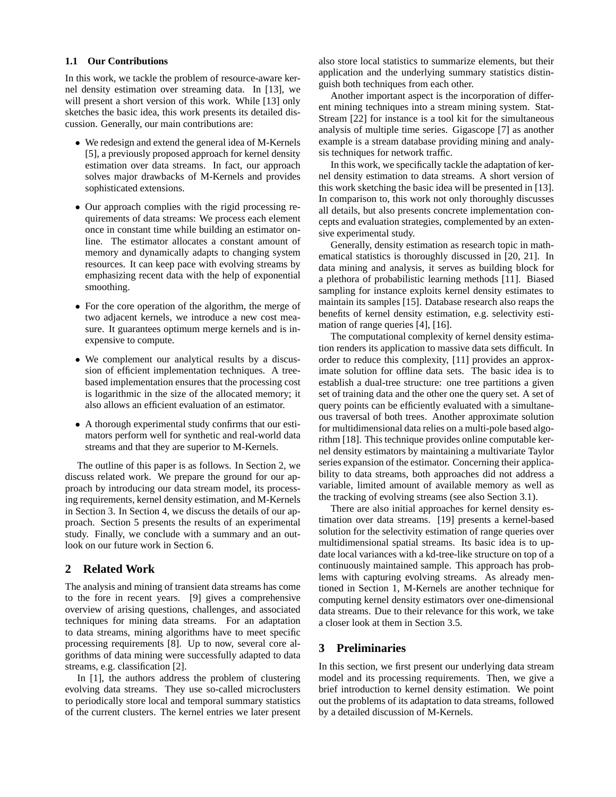#### **1.1 Our Contributions**

In this work, we tackle the problem of resource-aware kernel density estimation over streaming data. In [13], we will present a short version of this work. While [13] only sketches the basic idea, this work presents its detailed discussion. Generally, our main contributions are:

- We redesign and extend the general idea of M-Kernels [5], a previously proposed approach for kernel density estimation over data streams. In fact, our approach solves major drawbacks of M-Kernels and provides sophisticated extensions.
- Our approach complies with the rigid processing requirements of data streams: We process each element once in constant time while building an estimator online. The estimator allocates a constant amount of memory and dynamically adapts to changing system resources. It can keep pace with evolving streams by emphasizing recent data with the help of exponential smoothing.
- For the core operation of the algorithm, the merge of two adjacent kernels, we introduce a new cost measure. It guarantees optimum merge kernels and is inexpensive to compute.
- We complement our analytical results by a discussion of efficient implementation techniques. A treebased implementation ensures that the processing cost is logarithmic in the size of the allocated memory; it also allows an efficient evaluation of an estimator.
- A thorough experimental study confirms that our estimators perform well for synthetic and real-world data streams and that they are superior to M-Kernels.

The outline of this paper is as follows. In Section 2, we discuss related work. We prepare the ground for our approach by introducing our data stream model, its processing requirements, kernel density estimation, and M-Kernels in Section 3. In Section 4, we discuss the details of our approach. Section 5 presents the results of an experimental study. Finally, we conclude with a summary and an outlook on our future work in Section 6.

# **2 Related Work**

The analysis and mining of transient data streams has come to the fore in recent years. [9] gives a comprehensive overview of arising questions, challenges, and associated techniques for mining data streams. For an adaptation to data streams, mining algorithms have to meet specific processing requirements [8]. Up to now, several core algorithms of data mining were successfully adapted to data streams, e.g. classification [2].

In [1], the authors address the problem of clustering evolving data streams. They use so-called microclusters to periodically store local and temporal summary statistics of the current clusters. The kernel entries we later present also store local statistics to summarize elements, but their application and the underlying summary statistics distinguish both techniques from each other.

Another important aspect is the incorporation of different mining techniques into a stream mining system. Stat-Stream [22] for instance is a tool kit for the simultaneous analysis of multiple time series. Gigascope [7] as another example is a stream database providing mining and analysis techniques for network traffic.

In this work, we specifically tackle the adaptation of kernel density estimation to data streams. A short version of this work sketching the basic idea will be presented in [13]. In comparison to, this work not only thoroughly discusses all details, but also presents concrete implementation concepts and evaluation strategies, complemented by an extensive experimental study.

Generally, density estimation as research topic in mathematical statistics is thoroughly discussed in [20, 21]. In data mining and analysis, it serves as building block for a plethora of probabilistic learning methods [11]. Biased sampling for instance exploits kernel density estimates to maintain its samples [15]. Database research also reaps the benefits of kernel density estimation, e.g. selectivity estimation of range queries [4], [16].

The computational complexity of kernel density estimation renders its application to massive data sets difficult. In order to reduce this complexity, [11] provides an approximate solution for offline data sets. The basic idea is to establish a dual-tree structure: one tree partitions a given set of training data and the other one the query set. A set of query points can be efficiently evaluated with a simultaneous traversal of both trees. Another approximate solution for multidimensional data relies on a multi-pole based algorithm [18]. This technique provides online computable kernel density estimators by maintaining a multivariate Taylor series expansion of the estimator. Concerning their applicability to data streams, both approaches did not address a variable, limited amount of available memory as well as the tracking of evolving streams (see also Section 3.1).

There are also initial approaches for kernel density estimation over data streams. [19] presents a kernel-based solution for the selectivity estimation of range queries over multidimensional spatial streams. Its basic idea is to update local variances with a kd-tree-like structure on top of a continuously maintained sample. This approach has problems with capturing evolving streams. As already mentioned in Section 1, M-Kernels are another technique for computing kernel density estimators over one-dimensional data streams. Due to their relevance for this work, we take a closer look at them in Section 3.5.

# **3 Preliminaries**

In this section, we first present our underlying data stream model and its processing requirements. Then, we give a brief introduction to kernel density estimation. We point out the problems of its adaptation to data streams, followed by a detailed discussion of M-Kernels.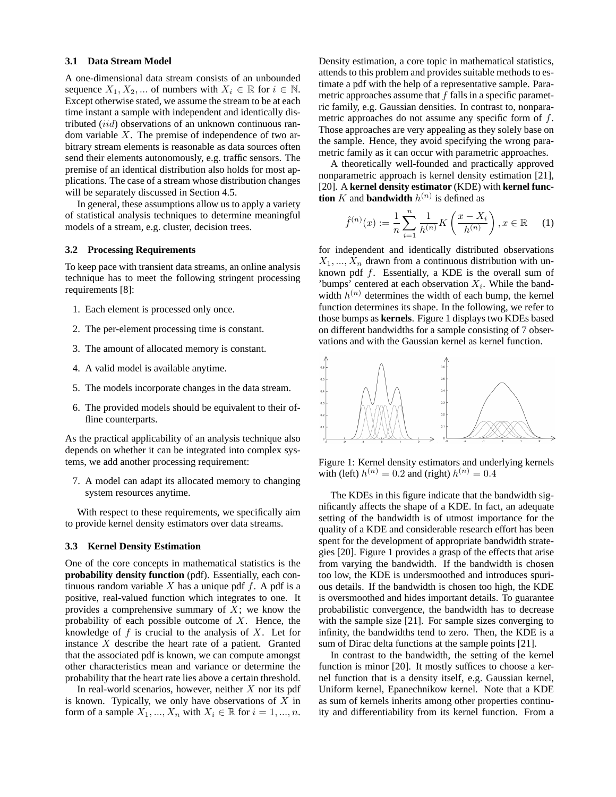#### **3.1 Data Stream Model**

A one-dimensional data stream consists of an unbounded sequence  $X_1, X_2, \dots$  of numbers with  $X_i \in \mathbb{R}$  for  $i \in \mathbb{N}$ . Except otherwise stated, we assume the stream to be at each time instant a sample with independent and identically distributed (iid) observations of an unknown continuous random variable  $X$ . The premise of independence of two arbitrary stream elements is reasonable as data sources often send their elements autonomously, e.g. traffic sensors. The premise of an identical distribution also holds for most applications. The case of a stream whose distribution changes will be separately discussed in Section 4.5.

In general, these assumptions allow us to apply a variety of statistical analysis techniques to determine meaningful models of a stream, e.g. cluster, decision trees.

#### **3.2 Processing Requirements**

To keep pace with transient data streams, an online analysis technique has to meet the following stringent processing requirements [8]:

- 1. Each element is processed only once.
- 2. The per-element processing time is constant.
- 3. The amount of allocated memory is constant.
- 4. A valid model is available anytime.
- 5. The models incorporate changes in the data stream.
- 6. The provided models should be equivalent to their offline counterparts.

As the practical applicability of an analysis technique also depends on whether it can be integrated into complex systems, we add another processing requirement:

7. A model can adapt its allocated memory to changing system resources anytime.

With respect to these requirements, we specifically aim to provide kernel density estimators over data streams.

#### **3.3 Kernel Density Estimation**

One of the core concepts in mathematical statistics is the **probability density function** (pdf). Essentially, each continuous random variable  $X$  has a unique pdf  $f$ . A pdf is a positive, real-valued function which integrates to one. It provides a comprehensive summary of  $X$ ; we know the probability of each possible outcome of  $X$ . Hence, the knowledge of  $f$  is crucial to the analysis of  $X$ . Let for instance  $X$  describe the heart rate of a patient. Granted that the associated pdf is known, we can compute amongst other characteristics mean and variance or determine the probability that the heart rate lies above a certain threshold.

In real-world scenarios, however, neither  $X$  nor its pdf is known. Typically, we only have observations of  $X$  in form of a sample  $X_1, ..., X_n$  with  $X_i \in \mathbb{R}$  for  $i = 1, ..., n$ . Density estimation, a core topic in mathematical statistics, attends to this problem and provides suitable methods to estimate a pdf with the help of a representative sample. Parametric approaches assume that  $f$  falls in a specific parametric family, e.g. Gaussian densities. In contrast to, nonparametric approaches do not assume any specific form of f. Those approaches are very appealing as they solely base on the sample. Hence, they avoid specifying the wrong parametric family as it can occur with parametric approaches.

A theoretically well-founded and practically approved nonparametric approach is kernel density estimation [21], [20]. A **kernel density estimator** (KDE) with **kernel function** K and **bandwidth**  $h^{(n)}$  is defined as

$$
\hat{f}^{(n)}(x) := \frac{1}{n} \sum_{i=1}^{n} \frac{1}{h^{(n)}} K\left(\frac{x - X_i}{h^{(n)}}\right), x \in \mathbb{R} \quad (1)
$$

for independent and identically distributed observations  $X_1, ..., X_n$  drawn from a continuous distribution with unknown pdf  $f$ . Essentially, a KDE is the overall sum of 'bumps' centered at each observation  $X_i$ . While the bandwidth  $h^{(n)}$  determines the width of each bump, the kernel function determines its shape. In the following, we refer to those bumps as **kernels**. Figure 1 displays two KDEs based on different bandwidths for a sample consisting of 7 observations and with the Gaussian kernel as kernel function.



Figure 1: Kernel density estimators and underlying kernels with (left)  $h^{(n)} = 0.2$  and (right)  $h^{(n)} = 0.4$ 

The KDEs in this figure indicate that the bandwidth significantly affects the shape of a KDE. In fact, an adequate setting of the bandwidth is of utmost importance for the quality of a KDE and considerable research effort has been spent for the development of appropriate bandwidth strategies [20]. Figure 1 provides a grasp of the effects that arise from varying the bandwidth. If the bandwidth is chosen too low, the KDE is undersmoothed and introduces spurious details. If the bandwidth is chosen too high, the KDE is oversmoothed and hides important details. To guarantee probabilistic convergence, the bandwidth has to decrease with the sample size [21]. For sample sizes converging to infinity, the bandwidths tend to zero. Then, the KDE is a sum of Dirac delta functions at the sample points [21].

In contrast to the bandwidth, the setting of the kernel function is minor [20]. It mostly suffices to choose a kernel function that is a density itself, e.g. Gaussian kernel, Uniform kernel, Epanechnikow kernel. Note that a KDE as sum of kernels inherits among other properties continuity and differentiability from its kernel function. From a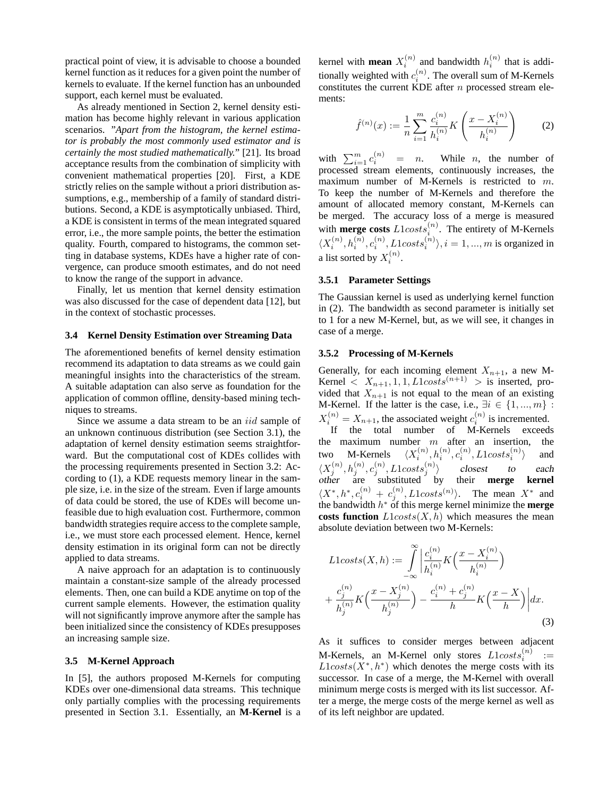practical point of view, it is advisable to choose a bounded kernel function as it reduces for a given point the number of kernels to evaluate. If the kernel function has an unbounded support, each kernel must be evaluated.

As already mentioned in Section 2, kernel density estimation has become highly relevant in various application scenarios. "*Apart from the histogram, the kernel estimator is probably the most commonly used estimator and is certainly the most studied mathematically.*" [21]. Its broad acceptance results from the combination of simplicity with convenient mathematical properties [20]. First, a KDE strictly relies on the sample without a priori distribution assumptions, e.g., membership of a family of standard distributions. Second, a KDE is asymptotically unbiased. Third, a KDE is consistent in terms of the mean integrated squared error, i.e., the more sample points, the better the estimation quality. Fourth, compared to histograms, the common setting in database systems, KDEs have a higher rate of convergence, can produce smooth estimates, and do not need to know the range of the support in advance.

Finally, let us mention that kernel density estimation was also discussed for the case of dependent data [12], but in the context of stochastic processes.

#### **3.4 Kernel Density Estimation over Streaming Data**

The aforementioned benefits of kernel density estimation recommend its adaptation to data streams as we could gain meaningful insights into the characteristics of the stream. A suitable adaptation can also serve as foundation for the application of common offline, density-based mining techniques to streams.

Since we assume a data stream to be an *iid* sample of an unknown continuous distribution (see Section 3.1), the adaptation of kernel density estimation seems straightforward. But the computational cost of KDEs collides with the processing requirements presented in Section 3.2: According to (1), a KDE requests memory linear in the sample size, i.e. in the size of the stream. Even if large amounts of data could be stored, the use of KDEs will become unfeasible due to high evaluation cost. Furthermore, common bandwidth strategies require access to the complete sample, i.e., we must store each processed element. Hence, kernel density estimation in its original form can not be directly applied to data streams.

A naive approach for an adaptation is to continuously maintain a constant-size sample of the already processed elements. Then, one can build a KDE anytime on top of the current sample elements. However, the estimation quality will not significantly improve anymore after the sample has been initialized since the consistency of KDEs presupposes an increasing sample size.

#### **3.5 M-Kernel Approach**

In [5], the authors proposed M-Kernels for computing KDEs over one-dimensional data streams. This technique only partially complies with the processing requirements presented in Section 3.1. Essentially, an **M-Kernel** is a

kernel with **mean**  $X_i^{(n)}$  and bandwidth  $h_i^{(n)}$  that is additionally weighted with  $c_i^{(n)}$ . The overall sum of M-Kernels constitutes the current KDE after n processed stream elements:

$$
\hat{f}^{(n)}(x) := \frac{1}{n} \sum_{i=1}^{m} \frac{c_i^{(n)}}{h_i^{(n)}} K\left(\frac{x - X_i^{(n)}}{h_i^{(n)}}\right)
$$
(2)

with  $\sum_{i=1}^{m} c_i^{(n)} = n$ . While *n*, the number of processed stream elements, continuously increases, the maximum number of M-Kernels is restricted to m. To keep the number of M-Kernels and therefore the amount of allocated memory constant, M-Kernels can be merged. The accuracy loss of a merge is measured with **merge costs**  $L1costs_i^{(n)}$ . The entirety of M-Kernels  $\langle X_i^{(n)}, h_i^{(n)}, c_i^{(n)}, L1costs_i^{(n)}\rangle, i=1,...,m$  is organized in a list sorted by  $X_i^{(n)}$ .

#### **3.5.1 Parameter Settings**

The Gaussian kernel is used as underlying kernel function in (2). The bandwidth as second parameter is initially set to 1 for a new M-Kernel, but, as we will see, it changes in case of a merge.

#### **3.5.2 Processing of M-Kernels**

Generally, for each incoming element  $X_{n+1}$ , a new M-Kernel  $\langle X_{n+1}, 1, 1, L1 \cos ts^{(n+1)} \rangle$  is inserted, provided that  $X_{n+1}$  is not equal to the mean of an existing M-Kernel. If the latter is the case, i.e.,  $\exists i \in \{1, ..., m\}$ :  $X_i^{(n)} = X_{n+1}$ , the associated weight  $c_i^{(n)}$  is incremented.  $X_{n+1}$ , the associated weight  $c_i$  is incremented.<br>If the total number of M-Kernels exceeds

the maximum number  $m$  after an insertion, the two M-Kernels  $\langle X_i^{(n)}, h_i^{(n)}, c_i^{(n)}, L1costs_i^{(n)}\rangle$  and  $\langle X_j^{(n)}, h_j^{(n)}, c_j^{(n)}, L1costs_j^{(n)}\rangle$  closest to each other are substituted by their **merge kernel**  $\langle X^*, h^*, c_i^{(n)} + c_j^{(n)}, L1 \text{costs}^{(n)} \rangle$ . The mean  $X^*$  and the bandwidth h <sup>∗</sup> of this merge kernel minimize the **merge costs function**  $L1costs(X, h)$  which measures the mean absolute deviation between two M-Kernels:

$$
L1costs(X, h) := \int_{-\infty}^{\infty} \left| \frac{c_i^{(n)}}{h_i^{(n)}} K\left(\frac{x - X_i^{(n)}}{h_i^{(n)}}\right) + \frac{c_j^{(n)}}{h_j^{(n)}} K\left(\frac{x - X_j^{(n)}}{h_j^{(n)}}\right) - \frac{c_i^{(n)} + c_j^{(n)}}{h} K\left(\frac{x - X}{h}\right) \right| dx.
$$
\n(3)

As it suffices to consider merges between adjacent M-Kernels, an M-Kernel only stores  $L1costs_i^{(n)}$  :=  $L1costs(X^*, h^*)$  which denotes the merge costs with its successor. In case of a merge, the M-Kernel with overall minimum merge costs is merged with its list successor. After a merge, the merge costs of the merge kernel as well as of its left neighbor are updated.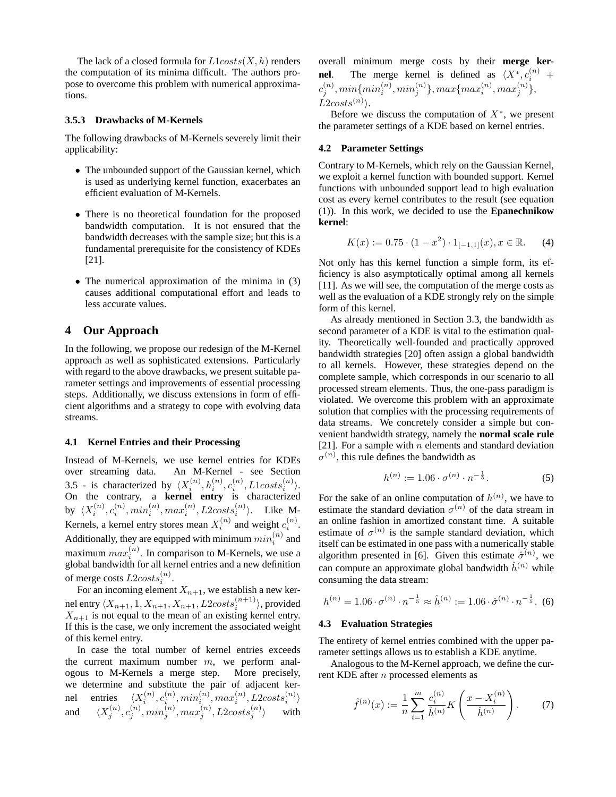The lack of a closed formula for  $L1costs(X, h)$  renders the computation of its minima difficult. The authors propose to overcome this problem with numerical approximations.

#### **3.5.3 Drawbacks of M-Kernels**

The following drawbacks of M-Kernels severely limit their applicability:

- The unbounded support of the Gaussian kernel, which is used as underlying kernel function, exacerbates an efficient evaluation of M-Kernels.
- There is no theoretical foundation for the proposed bandwidth computation. It is not ensured that the bandwidth decreases with the sample size; but this is a fundamental prerequisite for the consistency of KDEs [21].
- The numerical approximation of the minima in (3) causes additional computational effort and leads to less accurate values.

# **4 Our Approach**

In the following, we propose our redesign of the M-Kernel approach as well as sophisticated extensions. Particularly with regard to the above drawbacks, we present suitable parameter settings and improvements of essential processing steps. Additionally, we discuss extensions in form of efficient algorithms and a strategy to cope with evolving data streams.

#### **4.1 Kernel Entries and their Processing**

Instead of M-Kernels, we use kernel entries for KDEs over streaming data. An M-Kernel - see Section 3.5 - is characterized by  $\langle X_i^{(n)}, h_i^{(n)}, c_i^{(n)}, L1costs_i^{(n)}\rangle$ . On the contrary, a **kernel entry** is characterized by  $\langle X_i^{(n)}, c_i^{(n)}, min_i^{(n)}, max_i^{(n)}, L2costs_i^{(n)}\rangle$ . Like M-Kernels, a kernel entry stores mean  $X_i^{(n)}$  and weight  $c_i^{(n)}$ . Additionally, they are equipped with minimum  $min_i^{(n)}$  and maximum  $max_i^{(n)}$ . In comparison to M-Kernels, we use a global bandwidth for all kernel entries and a new definition of merge costs  $L2costs_i^{(n)}$ .

For an incoming element  $X_{n+1}$ , we establish a new kernel entry  $\langle X_{n+1}, 1, X_{n+1}, X_{n+1}, L2costs_i^{(n+1)} \rangle$ , provided  $X_{n+1}$  is not equal to the mean of an existing kernel entry. If this is the case, we only increment the associated weight of this kernel entry.

In case the total number of kernel entries exceeds the current maximum number  $m$ , we perform analogous to M-Kernels a merge step. More precisely, we determine and substitute the pair of adjacent kernel entries  $\langle X_i^{(n)}, c_i^{(n)}, min_i^{(n)}, max_i^{(n)}, L2costs_i^{(n)}\rangle$ and  $\langle X_j^{(n)}, c_j^{(n)}, min_j^{(n)}, max_j^{(n)}, L2costs_j^{(n)} \rangle$  with

overall minimum merge costs by their **merge kernel**. The merge kernel is defined as  $\langle X^*, c_i^{(n)} \rangle$  +  $c_j^{(n)}, min\{min_i^{(n)}, min_j^{(n)}\}, max\{max_i^{(n)}, max_j^{(n)}\},$  $L2costs^{(n)}$ .

Before we discuss the computation of  $X^*$ , we present the parameter settings of a KDE based on kernel entries.

#### **4.2 Parameter Settings**

Contrary to M-Kernels, which rely on the Gaussian Kernel, we exploit a kernel function with bounded support. Kernel functions with unbounded support lead to high evaluation cost as every kernel contributes to the result (see equation (1)). In this work, we decided to use the **Epanechnikow kernel**:

$$
K(x) := 0.75 \cdot (1 - x^2) \cdot 1_{[-1,1]}(x), x \in \mathbb{R}.
$$
 (4)

Not only has this kernel function a simple form, its efficiency is also asymptotically optimal among all kernels [11]. As we will see, the computation of the merge costs as well as the evaluation of a KDE strongly rely on the simple form of this kernel.

As already mentioned in Section 3.3, the bandwidth as second parameter of a KDE is vital to the estimation quality. Theoretically well-founded and practically approved bandwidth strategies [20] often assign a global bandwidth to all kernels. However, these strategies depend on the complete sample, which corresponds in our scenario to all processed stream elements. Thus, the one-pass paradigm is violated. We overcome this problem with an approximate solution that complies with the processing requirements of data streams. We concretely consider a simple but convenient bandwidth strategy, namely the **normal scale rule** [21]. For a sample with  $n$  elements and standard deviation  $\sigma^{(n)}$ , this rule defines the bandwidth as

$$
h^{(n)} := 1.06 \cdot \sigma^{(n)} \cdot n^{-\frac{1}{5}}.
$$
 (5)

For the sake of an online computation of  $h^{(n)}$ , we have to estimate the standard deviation  $\sigma^{(n)}$  of the data stream in an online fashion in amortized constant time. A suitable estimate of  $\sigma^{(n)}$  is the sample standard deviation, which itself can be estimated in one pass with a numerically stable algorithm presented in [6]. Given this estimate  $\hat{\sigma}^{(n)}$ , we can compute an approximate global bandwidth  $\hat{h}^{(n)}$  while consuming the data stream:

$$
h^{(n)} = 1.06 \cdot \sigma^{(n)} \cdot n^{-\frac{1}{5}} \approx \hat{h}^{(n)} := 1.06 \cdot \hat{\sigma}^{(n)} \cdot n^{-\frac{1}{5}}.
$$
 (6)

#### **4.3 Evaluation Strategies**

The entirety of kernel entries combined with the upper parameter settings allows us to establish a KDE anytime.

Analogous to the M-Kernel approach, we define the current KDE after n processed elements as

$$
\hat{f}^{(n)}(x) := \frac{1}{n} \sum_{i=1}^{m} \frac{c_i^{(n)}}{\hat{h}^{(n)}} K\left(\frac{x - X_i^{(n)}}{\hat{h}^{(n)}}\right). \tag{7}
$$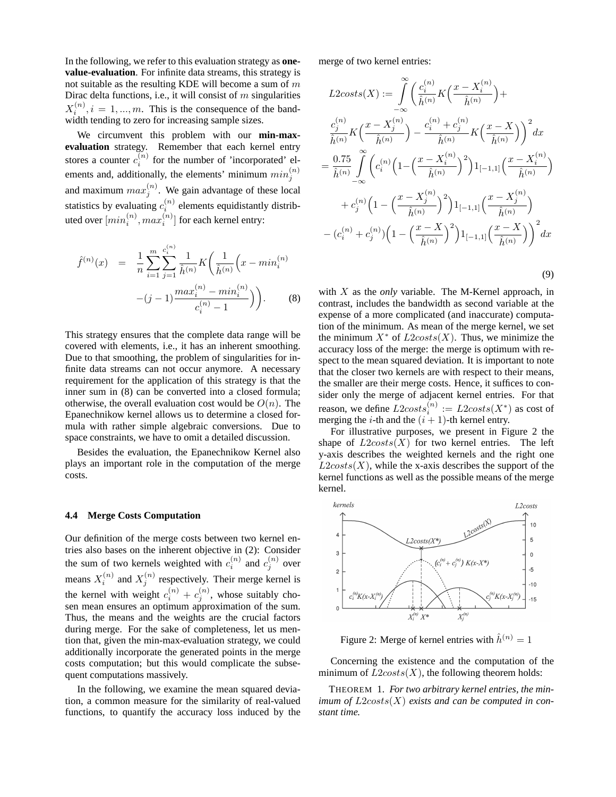In the following, we refer to this evaluation strategy as **onevalue-evaluation**. For infinite data streams, this strategy is not suitable as the resulting KDE will become a sum of  $m$ Dirac delta functions, i.e., it will consist of  $m$  singularities  $X_i^{(n)}$ ,  $i = 1, ..., m$ . This is the consequence of the bandwidth tending to zero for increasing sample sizes.

We circumvent this problem with our **min-maxevaluation** strategy. Remember that each kernel entry stores a counter  $c_i^{(n)}$  for the number of 'incorporated' elements and, additionally, the elements' minimum  $min_j^{(n)}$ and maximum  $max_j^{(n)}$ . We gain advantage of these local statistics by evaluating  $c_i^{(n)}$  elements equidistantly distributed over  $[\min_i^{(n)}, \max_i^{(n)}]$  for each kernel entry:

$$
\hat{f}^{(n)}(x) = \frac{1}{n} \sum_{i=1}^{m} \sum_{j=1}^{c_i^{(n)}} \frac{1}{\hat{h}^{(n)}} K\left(\frac{1}{\hat{h}^{(n)}} \left(x - \min_i^{(n)}\right) - (j-1) \frac{\max_i^{(n)} - \min_i^{(n)}}{c_i^{(n)} - 1}\right).
$$
 (8)

This strategy ensures that the complete data range will be covered with elements, i.e., it has an inherent smoothing. Due to that smoothing, the problem of singularities for infinite data streams can not occur anymore. A necessary requirement for the application of this strategy is that the inner sum in (8) can be converted into a closed formula; otherwise, the overall evaluation cost would be  $O(n)$ . The Epanechnikow kernel allows us to determine a closed formula with rather simple algebraic conversions. Due to space constraints, we have to omit a detailed discussion.

Besides the evaluation, the Epanechnikow Kernel also plays an important role in the computation of the merge costs.

#### **4.4 Merge Costs Computation**

Our definition of the merge costs between two kernel entries also bases on the inherent objective in (2): Consider the sum of two kernels weighted with  $c_i^{(n)}$  and  $c_j^{(n)}$  over means  $X_i^{(n)}$  and  $X_j^{(n)}$  respectively. Their merge kernel is the kernel with weight  $c_i^{(n)} + c_j^{(n)}$ , whose suitably chosen mean ensures an optimum approximation of the sum. Thus, the means and the weights are the crucial factors during merge. For the sake of completeness, let us mention that, given the min-max-evaluation strategy, we could additionally incorporate the generated points in the merge costs computation; but this would complicate the subsequent computations massively.

In the following, we examine the mean squared deviation, a common measure for the similarity of real-valued functions, to quantify the accuracy loss induced by the merge of two kernel entries:

$$
L2costs(X) := \int_{-\infty}^{\infty} \left( \frac{c_i^{(n)}}{\hat{h}^{(n)}} K\left(\frac{x - X_i^{(n)}}{\hat{h}^{(n)}}\right) + \frac{c_j^{(n)}}{\hat{h}^{(n)}} K\left(\frac{x - X_j^{(n)}}{\hat{h}^{(n)}}\right) - \frac{c_i^{(n)} + c_j^{(n)}}{\hat{h}^{(n)}} K\left(\frac{x - X}{\hat{h}^{(n)}}\right)\right)^2 dx
$$
  

$$
= \frac{0.75}{\hat{h}^{(n)}} \int_{-\infty}^{\infty} \left( c_i^{(n)} \left(1 - \left(\frac{x - X_i^{(n)}}{\hat{h}^{(n)}}\right)^2 \right) 1_{[-1,1]} \left(\frac{x - X_i^{(n)}}{\hat{h}^{(n)}}\right) + c_j^{(n)} \left(1 - \left(\frac{x - X_j^{(n)}}{\hat{h}^{(n)}}\right)^2 \right) 1_{[-1,1]} \left(\frac{x - X_j^{(n)}}{\hat{h}^{(n)}}\right) - (c_i^{(n)} + c_j^{(n)}) \left(1 - \left(\frac{x - X}{\hat{h}^{(n)}}\right)^2 \right) 1_{[-1,1]} \left(\frac{x - X}{\hat{h}^{(n)}}\right)\right)^2 dx
$$

(9)

with X as the *only* variable. The M-Kernel approach, in contrast, includes the bandwidth as second variable at the expense of a more complicated (and inaccurate) computation of the minimum. As mean of the merge kernel, we set the minimum  $X^*$  of  $L2costs(X)$ . Thus, we minimize the accuracy loss of the merge: the merge is optimum with respect to the mean squared deviation. It is important to note that the closer two kernels are with respect to their means, the smaller are their merge costs. Hence, it suffices to consider only the merge of adjacent kernel entries. For that reason, we define  $L2costs_i^{(n)} := L2costs(X^*)$  as cost of merging the *i*-th and the  $(i + 1)$ -th kernel entry.

For illustrative purposes, we present in Figure 2 the shape of  $L2costs(X)$  for two kernel entries. The left y-axis describes the weighted kernels and the right one  $L2costs(X)$ , while the x-axis describes the support of the kernel functions as well as the possible means of the merge kernel.



Figure 2: Merge of kernel entries with  $\hat{h}^{(n)} = 1$ 

Concerning the existence and the computation of the minimum of  $L2costs(X)$ , the following theorem holds:

THEOREM 1. *For two arbitrary kernel entries, the minimum of* L2costs(X) *exists and can be computed in constant time.*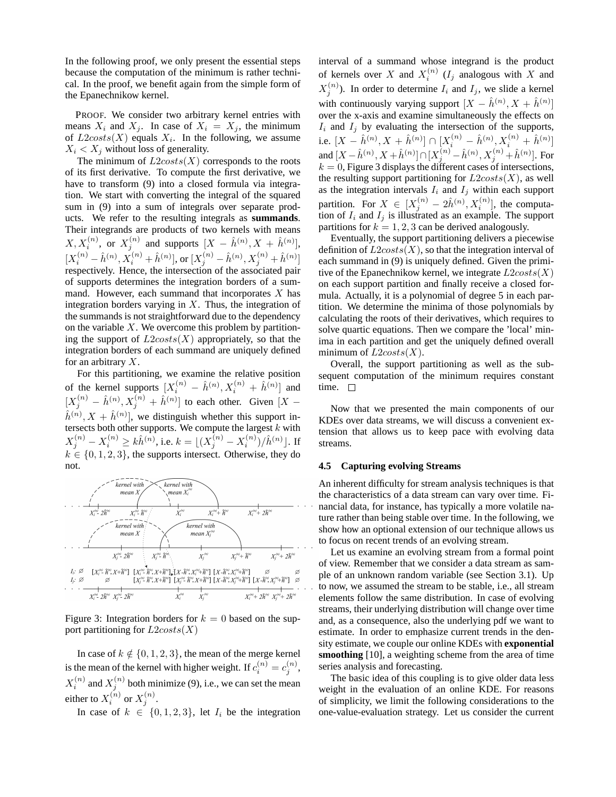In the following proof, we only present the essential steps because the computation of the minimum is rather technical. In the proof, we benefit again from the simple form of the Epanechnikow kernel.

PROOF. We consider two arbitrary kernel entries with means  $X_i$  and  $X_j$ . In case of  $X_i = X_j$ , the minimum of  $L2costs(X)$  equals  $X_i$ . In the following, we assume  $X_i < X_j$  without loss of generality.

The minimum of  $L2costs(X)$  corresponds to the roots of its first derivative. To compute the first derivative, we have to transform (9) into a closed formula via integration. We start with converting the integral of the squared sum in (9) into a sum of integrals over separate products. We refer to the resulting integrals as **summands**. Their integrands are products of two kernels with means  $X, X_i^{(n)}$ , or  $X_j^{(n)}$  and supports  $[X - \hat{h}^{(n)}, X + \hat{h}^{(n)}],$  $[X_i^{(n)} - \hat{h}^{(n)}, X_i^{(n)} + \hat{h}^{(n)}],$  or  $[X_j^{(n)} - \hat{h}^{(n)}, X_j^{(n)} + \hat{h}^{(n)}]$ respectively. Hence, the intersection of the associated pair of supports determines the integration borders of a summand. However, each summand that incorporates  $X$  has integration borders varying in  $X$ . Thus, the integration of the summands is not straightforward due to the dependency on the variable  $X$ . We overcome this problem by partitioning the support of  $L2costs(X)$  appropriately, so that the integration borders of each summand are uniquely defined for an arbitrary  $X$ .

For this partitioning, we examine the relative position of the kernel supports  $[X_i^{(n)} - \hat{h}^{(n)}, X_i^{(n)} + \hat{h}^{(n)}]$  and  $[X_j^{(n)} - \hat{h}^{(n)}, X_j^{(n)} + \hat{h}^{(n)}]$  to each other. Given  $[X \hat{h}^{(n)}, X + \hat{h}^{(n)}$ , we distinguish whether this support intersects both other supports. We compute the largest  $k$  with  $X_j^{(n)}-X_i^{(n)}\geq k\hat{h}^{(n)},$  i.e.  $k=\lfloor(X_j^{(n)}-X_i^{(n)})/\hat{h}^{(n)}\rfloor.$  If  $k \in \{0, 1, 2, 3\}$ , the supports intersect. Otherwise, they do not.



Figure 3: Integration borders for  $k = 0$  based on the support partitioning for  $L2costs(X)$ 

In case of  $k \notin \{0, 1, 2, 3\}$ , the mean of the merge kernel is the mean of the kernel with higher weight. If  $c_i^{(n)} = c_j^{(n)}$ ,  $X_i^{(n)}$  and  $X_j^{(n)}$  both minimize (9), i.e., we can set the mean either to  $X_i^{(n)}$  or  $X_j^{(n)}$ .

In case of  $k \in \{0, 1, 2, 3\}$ , let  $I_i$  be the integration

interval of a summand whose integrand is the product of kernels over X and  $X_i^{(n)}$  ( $I_j$  analogous with X and  $X_j^{(n)}$ ). In order to determine  $I_i$  and  $I_j$ , we slide a kernel with continuously varying support  $[X - \hat{h}^{(n)}, X + \hat{h}^{(n)}]$ over the x-axis and examine simultaneously the effects on  $I_i$  and  $I_j$  by evaluating the intersection of the supports, i.e.  $[X - \hat{h}^{(n)}, X + \hat{h}^{(n)}] \cap [X_i^{(n)} - \hat{h}^{(n)}, X_i^{(n)} + \hat{h}^{(n)}]$ and  $[X - \hat{h}^{(n)}, X + \hat{h}^{(n)}] \cap [X_j^{(n)} - \hat{h}^{(n)}, X_j^{(n)} + \hat{h}^{(n)}]$ . For  $k = 0$ , Figure 3 displays the different cases of intersections, the resulting support partitioning for  $L2costs(X)$ , as well as the integration intervals  $I_i$  and  $I_j$  within each support partition. For  $X \in [X_j^{(n)} - 2\hat{h}^{(n)}, X_i^{(n)}]$ , the computation of  $I_i$  and  $I_j$  is illustrated as an example. The support partitions for  $k = 1, 2, 3$  can be derived analogously.

Eventually, the support partitioning delivers a piecewise definition of  $L2costs(X)$ , so that the integration interval of each summand in (9) is uniquely defined. Given the primitive of the Epanechnikow kernel, we integrate  $L2costs(X)$ on each support partition and finally receive a closed formula. Actually, it is a polynomial of degree 5 in each partition. We determine the minima of those polynomials by calculating the roots of their derivatives, which requires to solve quartic equations. Then we compare the 'local' minima in each partition and get the uniquely defined overall minimum of  $L2costs(X)$ .

Overall, the support partitioning as well as the subsequent computation of the minimum requires constant time.  $\square$ 

Now that we presented the main components of our KDEs over data streams, we will discuss a convenient extension that allows us to keep pace with evolving data streams.

#### **4.5 Capturing evolving Streams**

An inherent difficulty for stream analysis techniques is that the characteristics of a data stream can vary over time. Financial data, for instance, has typically a more volatile nature rather than being stable over time. In the following, we show how an optional extension of our technique allows us to focus on recent trends of an evolving stream.

Let us examine an evolving stream from a formal point of view. Remember that we consider a data stream as sample of an unknown random variable (see Section 3.1). Up to now, we assumed the stream to be stable, i.e., all stream elements follow the same distribution. In case of evolving streams, their underlying distribution will change over time and, as a consequence, also the underlying pdf we want to estimate. In order to emphasize current trends in the density estimate, we couple our online KDEs with **exponential smoothing** [10], a weighting scheme from the area of time series analysis and forecasting.

The basic idea of this coupling is to give older data less weight in the evaluation of an online KDE. For reasons of simplicity, we limit the following considerations to the one-value-evaluation strategy. Let us consider the current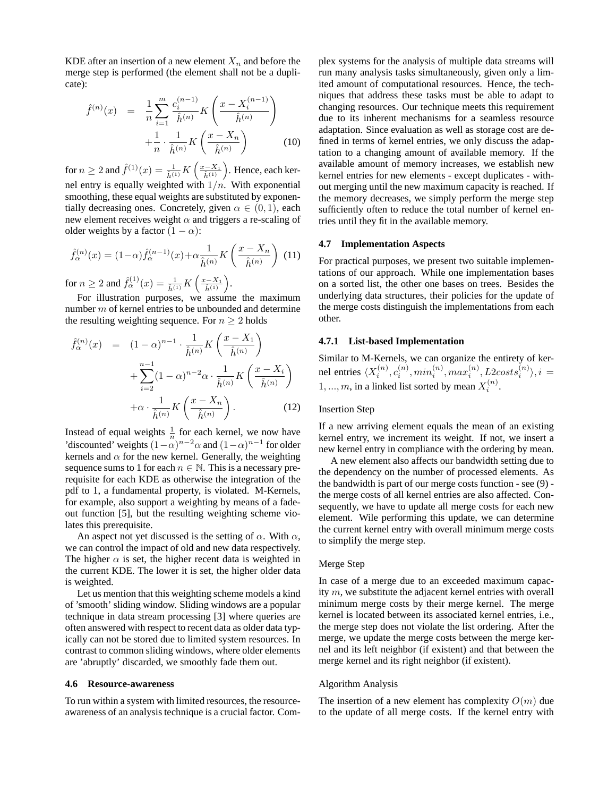KDE after an insertion of a new element  $X_n$  and before the merge step is performed (the element shall not be a duplicate):

$$
\hat{f}^{(n)}(x) = \frac{1}{n} \sum_{i=1}^{m} \frac{c_i^{(n-1)}}{\hat{h}^{(n)}} K\left(\frac{x - X_i^{(n-1)}}{\hat{h}^{(n)}}\right) + \frac{1}{n} \cdot \frac{1}{\hat{h}^{(n)}} K\left(\frac{x - X_n}{\hat{h}^{(n)}}\right)
$$
(10)

for  $n \geq 2$  and  $\hat{f}^{(1)}(x) = \frac{1}{\hat{h}^{(1)}} K\left(\frac{x - X_1}{\hat{h}^{(1)}}\right)$ . Hence, each kernel entry is equally weighted with  $1/n$ . With exponential smoothing, these equal weights are substituted by exponentially decreasing ones. Concretely, given  $\alpha \in (0,1)$ , each new element receives weight  $\alpha$  and triggers a re-scaling of older weights by a factor  $(1 - \alpha)$ :

$$
\hat{f}_{\alpha}^{(n)}(x) = (1 - \alpha)\hat{f}_{\alpha}^{(n-1)}(x) + \alpha \frac{1}{\hat{h}^{(n)}} K\left(\frac{x - X_n}{\hat{h}^{(n)}}\right)
$$
(11)

for  $n \ge 2$  and  $\hat{f}_{\alpha}^{(1)}(x) = \frac{1}{\hat{h}^{(1)}} K\left(\frac{x - X_1}{\hat{h}^{(1)}}\right)$ .

For illustration purposes, we assume the maximum number m of kernel entries to be unbounded and determine the resulting weighting sequence. For  $n \geq 2$  holds

$$
\hat{f}_{\alpha}^{(n)}(x) = (1-\alpha)^{n-1} \cdot \frac{1}{\hat{h}^{(n)}} K\left(\frac{x-X_1}{\hat{h}^{(n)}}\right)
$$

$$
+ \sum_{i=2}^{n-1} (1-\alpha)^{n-2} \alpha \cdot \frac{1}{\hat{h}^{(n)}} K\left(\frac{x-X_i}{\hat{h}^{(n)}}\right)
$$

$$
+ \alpha \cdot \frac{1}{\hat{h}^{(n)}} K\left(\frac{x-X_n}{\hat{h}^{(n)}}\right).
$$
(12)

Instead of equal weights  $\frac{1}{n}$  for each kernel, we now have 'discounted' weights  $(1-\alpha)^{n-2}\alpha$  and  $(1-\alpha)^{n-1}$  for older kernels and  $\alpha$  for the new kernel. Generally, the weighting sequence sums to 1 for each  $n \in \mathbb{N}$ . This is a necessary prerequisite for each KDE as otherwise the integration of the pdf to 1, a fundamental property, is violated. M-Kernels, for example, also support a weighting by means of a fadeout function [5], but the resulting weighting scheme violates this prerequisite.

An aspect not yet discussed is the setting of  $\alpha$ . With  $\alpha$ , we can control the impact of old and new data respectively. The higher  $\alpha$  is set, the higher recent data is weighted in the current KDE. The lower it is set, the higher older data is weighted.

Let us mention that this weighting scheme models a kind of 'smooth' sliding window. Sliding windows are a popular technique in data stream processing [3] where queries are often answered with respect to recent data as older data typically can not be stored due to limited system resources. In contrast to common sliding windows, where older elements are 'abruptly' discarded, we smoothly fade them out.

#### **4.6 Resource-awareness**

To run within a system with limited resources, the resourceawareness of an analysis technique is a crucial factor. Complex systems for the analysis of multiple data streams will run many analysis tasks simultaneously, given only a limited amount of computational resources. Hence, the techniques that address these tasks must be able to adapt to changing resources. Our technique meets this requirement due to its inherent mechanisms for a seamless resource adaptation. Since evaluation as well as storage cost are defined in terms of kernel entries, we only discuss the adaptation to a changing amount of available memory. If the available amount of memory increases, we establish new kernel entries for new elements - except duplicates - without merging until the new maximum capacity is reached. If the memory decreases, we simply perform the merge step sufficiently often to reduce the total number of kernel entries until they fit in the available memory.

#### **4.7 Implementation Aspects**

For practical purposes, we present two suitable implementations of our approach. While one implementation bases on a sorted list, the other one bases on trees. Besides the underlying data structures, their policies for the update of the merge costs distinguish the implementations from each other.

#### **4.7.1 List-based Implementation**

Similar to M-Kernels, we can organize the entirety of kernel entries  $\langle X_i^{(n)}, c_i^{(n)}, min_i^{(n)}, max_i^{(n)}, L2costs_i^{(n)}\rangle, i =$  $1, ..., m$ , in a linked list sorted by mean  $X_i^{(n)}$ .

#### Insertion Step

If a new arriving element equals the mean of an existing kernel entry, we increment its weight. If not, we insert a new kernel entry in compliance with the ordering by mean.

A new element also affects our bandwidth setting due to the dependency on the number of processed elements. As the bandwidth is part of our merge costs function - see (9) the merge costs of all kernel entries are also affected. Consequently, we have to update all merge costs for each new element. Wile performing this update, we can determine the current kernel entry with overall minimum merge costs to simplify the merge step.

#### Merge Step

In case of a merge due to an exceeded maximum capacity m, we substitute the adjacent kernel entries with overall minimum merge costs by their merge kernel. The merge kernel is located between its associated kernel entries, i.e., the merge step does not violate the list ordering. After the merge, we update the merge costs between the merge kernel and its left neighbor (if existent) and that between the merge kernel and its right neighbor (if existent).

#### Algorithm Analysis

The insertion of a new element has complexity  $O(m)$  due to the update of all merge costs. If the kernel entry with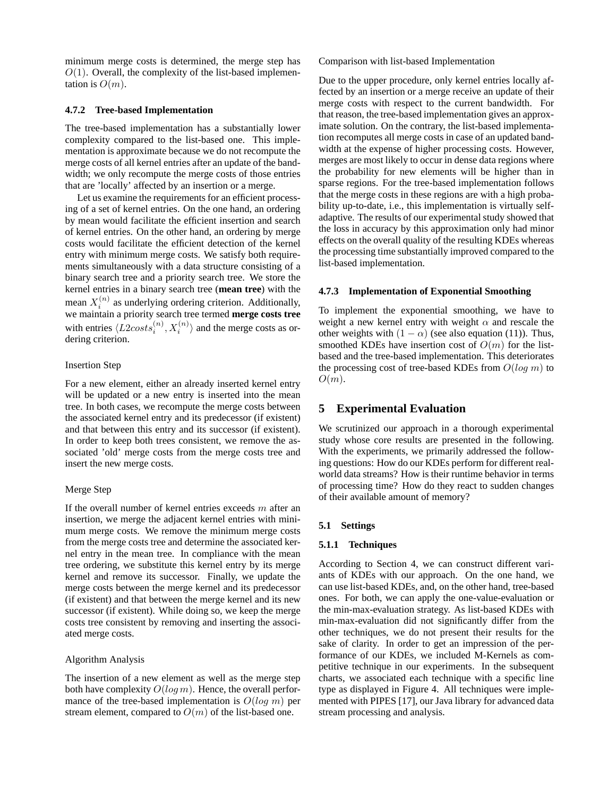minimum merge costs is determined, the merge step has  $O(1)$ . Overall, the complexity of the list-based implementation is  $O(m)$ .

#### **4.7.2 Tree-based Implementation**

The tree-based implementation has a substantially lower complexity compared to the list-based one. This implementation is approximate because we do not recompute the merge costs of all kernel entries after an update of the bandwidth; we only recompute the merge costs of those entries that are 'locally' affected by an insertion or a merge.

Let us examine the requirements for an efficient processing of a set of kernel entries. On the one hand, an ordering by mean would facilitate the efficient insertion and search of kernel entries. On the other hand, an ordering by merge costs would facilitate the efficient detection of the kernel entry with minimum merge costs. We satisfy both requirements simultaneously with a data structure consisting of a binary search tree and a priority search tree. We store the kernel entries in a binary search tree (**mean tree**) with the mean  $X_i^{(n)}$  as underlying ordering criterion. Additionally, i we maintain a priority search tree termed **merge costs tree** with entries  $\langle L2costs_i^{(n)}, X_i^{(n)} \rangle$  and the merge costs as ordering criterion.

#### Insertion Step

For a new element, either an already inserted kernel entry will be updated or a new entry is inserted into the mean tree. In both cases, we recompute the merge costs between the associated kernel entry and its predecessor (if existent) and that between this entry and its successor (if existent). In order to keep both trees consistent, we remove the associated 'old' merge costs from the merge costs tree and insert the new merge costs.

# Merge Step

If the overall number of kernel entries exceeds  $m$  after an insertion, we merge the adjacent kernel entries with minimum merge costs. We remove the minimum merge costs from the merge costs tree and determine the associated kernel entry in the mean tree. In compliance with the mean tree ordering, we substitute this kernel entry by its merge kernel and remove its successor. Finally, we update the merge costs between the merge kernel and its predecessor (if existent) and that between the merge kernel and its new successor (if existent). While doing so, we keep the merge costs tree consistent by removing and inserting the associated merge costs.

# Algorithm Analysis

The insertion of a new element as well as the merge step both have complexity  $O(log m)$ . Hence, the overall performance of the tree-based implementation is  $O(log m)$  per stream element, compared to  $O(m)$  of the list-based one.

Comparison with list-based Implementation

Due to the upper procedure, only kernel entries locally affected by an insertion or a merge receive an update of their merge costs with respect to the current bandwidth. For that reason, the tree-based implementation gives an approximate solution. On the contrary, the list-based implementation recomputes all merge costs in case of an updated bandwidth at the expense of higher processing costs. However, merges are most likely to occur in dense data regions where the probability for new elements will be higher than in sparse regions. For the tree-based implementation follows that the merge costs in these regions are with a high probability up-to-date, i.e., this implementation is virtually selfadaptive. The results of our experimental study showed that the loss in accuracy by this approximation only had minor effects on the overall quality of the resulting KDEs whereas the processing time substantially improved compared to the list-based implementation.

#### **4.7.3 Implementation of Exponential Smoothing**

To implement the exponential smoothing, we have to weight a new kernel entry with weight  $\alpha$  and rescale the other weights with  $(1 - \alpha)$  (see also equation (11)). Thus, smoothed KDEs have insertion cost of  $O(m)$  for the listbased and the tree-based implementation. This deteriorates the processing cost of tree-based KDEs from  $O(log m)$  to  $O(m)$ .

# **5 Experimental Evaluation**

We scrutinized our approach in a thorough experimental study whose core results are presented in the following. With the experiments, we primarily addressed the following questions: How do our KDEs perform for different realworld data streams? How is their runtime behavior in terms of processing time? How do they react to sudden changes of their available amount of memory?

# **5.1 Settings**

# **5.1.1 Techniques**

According to Section 4, we can construct different variants of KDEs with our approach. On the one hand, we can use list-based KDEs, and, on the other hand, tree-based ones. For both, we can apply the one-value-evaluation or the min-max-evaluation strategy. As list-based KDEs with min-max-evaluation did not significantly differ from the other techniques, we do not present their results for the sake of clarity. In order to get an impression of the performance of our KDEs, we included M-Kernels as competitive technique in our experiments. In the subsequent charts, we associated each technique with a specific line type as displayed in Figure 4. All techniques were implemented with PIPES [17], our Java library for advanced data stream processing and analysis.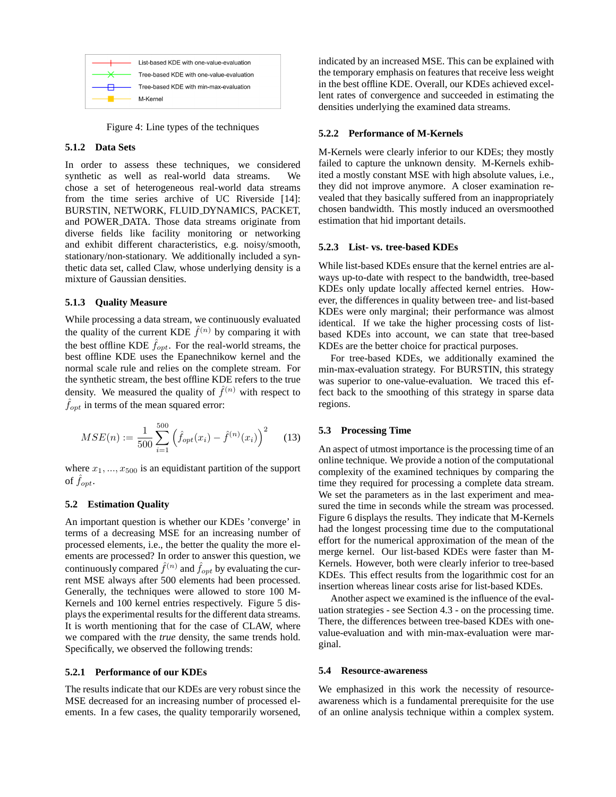|             | $\overline{\mathsf{R}}$ Tree-based KDE with one-value-evaluation |
|-------------|------------------------------------------------------------------|
|             | Tree-based KDE with min-max-evaluation                           |
| —— M-Kernel |                                                                  |

Figure 4: Line types of the techniques

# **5.1.2 Data Sets**

In order to assess these techniques, we considered synthetic as well as real-world data streams. We chose a set of heterogeneous real-world data streams from the time series archive of UC Riverside [14]: BURSTIN, NETWORK, FLUID DYNAMICS, PACKET, and POWER DATA. Those data streams originate from diverse fields like facility monitoring or networking and exhibit different characteristics, e.g. noisy/smooth, stationary/non-stationary. We additionally included a synthetic data set, called Claw, whose underlying density is a mixture of Gaussian densities.

#### **5.1.3 Quality Measure**

While processing a data stream, we continuously evaluated the quality of the current KDE  $\hat{f}^{(n)}$  by comparing it with the best offline KDE  $\hat{f}_{opt}$ . For the real-world streams, the best offline KDE uses the Epanechnikow kernel and the normal scale rule and relies on the complete stream. For the synthetic stream, the best offline KDE refers to the true density. We measured the quality of  $\hat{f}^{(n)}$  with respect to  $\hat{f}_{opt}$  in terms of the mean squared error:

$$
MSE(n) := \frac{1}{500} \sum_{i=1}^{500} \left( \hat{f}_{opt}(x_i) - \hat{f}^{(n)}(x_i) \right)^2 \tag{13}
$$

where  $x_1, ..., x_{500}$  is an equidistant partition of the support of  $f_{opt}$ .

#### **5.2 Estimation Quality**

An important question is whether our KDEs 'converge' in terms of a decreasing MSE for an increasing number of processed elements, i.e., the better the quality the more elements are processed? In order to answer this question, we continuously compared  $\hat{f}^{(n)}$  and  $\hat{f}_{opt}$  by evaluating the current MSE always after 500 elements had been processed. Generally, the techniques were allowed to store 100 M-Kernels and 100 kernel entries respectively. Figure 5 displays the experimental results for the different data streams. It is worth mentioning that for the case of CLAW, where we compared with the *true* density, the same trends hold. Specifically, we observed the following trends:

#### **5.2.1 Performance of our KDEs**

The results indicate that our KDEs are very robust since the MSE decreased for an increasing number of processed elements. In a few cases, the quality temporarily worsened, indicated by an increased MSE. This can be explained with the temporary emphasis on features that receive less weight in the best offline KDE. Overall, our KDEs achieved excellent rates of convergence and succeeded in estimating the densities underlying the examined data streams.

#### **5.2.2 Performance of M-Kernels**

M-Kernels were clearly inferior to our KDEs; they mostly failed to capture the unknown density. M-Kernels exhibited a mostly constant MSE with high absolute values, i.e., they did not improve anymore. A closer examination revealed that they basically suffered from an inappropriately chosen bandwidth. This mostly induced an oversmoothed estimation that hid important details.

#### **5.2.3 List- vs. tree-based KDEs**

While list-based KDEs ensure that the kernel entries are always up-to-date with respect to the bandwidth, tree-based KDEs only update locally affected kernel entries. However, the differences in quality between tree- and list-based KDEs were only marginal; their performance was almost identical. If we take the higher processing costs of listbased KDEs into account, we can state that tree-based KDEs are the better choice for practical purposes.

For tree-based KDEs, we additionally examined the min-max-evaluation strategy. For BURSTIN, this strategy was superior to one-value-evaluation. We traced this effect back to the smoothing of this strategy in sparse data regions.

#### **5.3 Processing Time**

An aspect of utmost importance is the processing time of an online technique. We provide a notion of the computational complexity of the examined techniques by comparing the time they required for processing a complete data stream. We set the parameters as in the last experiment and measured the time in seconds while the stream was processed. Figure 6 displays the results. They indicate that M-Kernels had the longest processing time due to the computational effort for the numerical approximation of the mean of the merge kernel. Our list-based KDEs were faster than M-Kernels. However, both were clearly inferior to tree-based KDEs. This effect results from the logarithmic cost for an insertion whereas linear costs arise for list-based KDEs.

Another aspect we examined is the influence of the evaluation strategies - see Section 4.3 - on the processing time. There, the differences between tree-based KDEs with onevalue-evaluation and with min-max-evaluation were marginal.

#### **5.4 Resource-awareness**

We emphasized in this work the necessity of resourceawareness which is a fundamental prerequisite for the use of an online analysis technique within a complex system.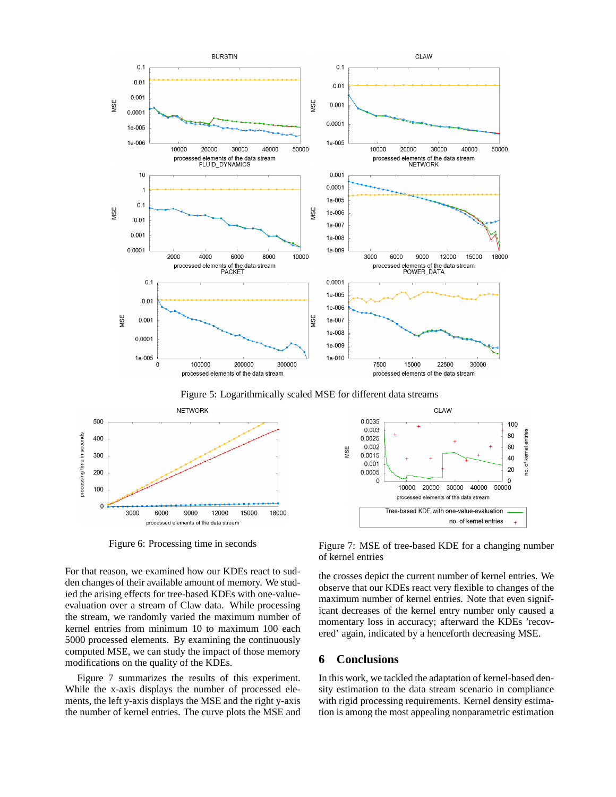

18000

3000 6000 9000 12000 15000 processed elements of the data stream

 $\mathbf 0$ 

Figure 6: Processing time in seconds

For that reason, we examined how our KDEs react to sudden changes of their available amount of memory. We studied the arising effects for tree-based KDEs with one-valueevaluation over a stream of Claw data. While processing the stream, we randomly varied the maximum number of kernel entries from minimum 10 to maximum 100 each 5000 processed elements. By examining the continuously computed MSE, we can study the impact of those memory modifications on the quality of the KDEs.

Figure 7 summarizes the results of this experiment. While the x-axis displays the number of processed elements, the left y-axis displays the MSE and the right y-axis the number of kernel entries. The curve plots the MSE and



Tree-based KDE with one-value-evaluation

no, of kernel entries

the crosses depict the current number of kernel entries. We observe that our KDEs react very flexible to changes of the maximum number of kernel entries. Note that even significant decreases of the kernel entry number only caused a momentary loss in accuracy; afterward the KDEs 'recovered' again, indicated by a henceforth decreasing MSE.

# **6 Conclusions**

In this work, we tackled the adaptation of kernel-based density estimation to the data stream scenario in compliance with rigid processing requirements. Kernel density estimation is among the most appealing nonparametric estimation